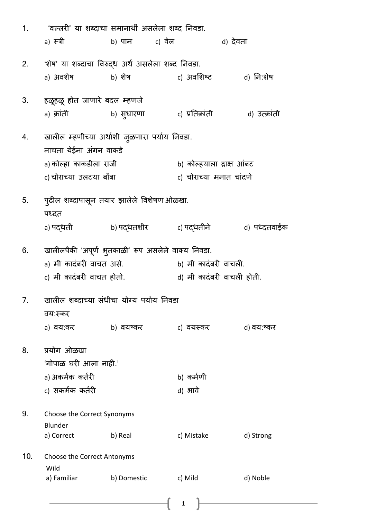| 1.  | 'वल्लरी' या शब्दाचा समानार्थी असलेला शब्द निवडा.   |                       |                           |               |
|-----|----------------------------------------------------|-----------------------|---------------------------|---------------|
|     | a) स्त्री                                          | b) पान         c) वेल | d) देवता                  |               |
| 2.  | 'शेष' या शब्दाचा विरुद्ध अर्थ असलेला शब्द निवडा.   |                       |                           |               |
|     | a) अवशेष                                           | b) शेष                | c) अवशिष्ट                | d) नि:शेष     |
| 3.  | हळूहळू होत जाणारे बदल म्हणजे                       |                       |                           |               |
|     | a) क्रांती                                         | b) सुधारणा            | c) प्रतिक्रांती           | d) उत्क्रांती |
| 4.  | खालील म्हणीच्या अर्थाशी जुळणारा पर्याय निवडा.      |                       |                           |               |
|     | नाचता येईना अंगन वाकडे                             |                       |                           |               |
|     | a) कोल्हा काकडीला राजी                             |                       | b) कोल्हयाला द्राक्ष आंबट |               |
|     | c) चोराच्या उलटया बोंबा                            |                       | c) चोराच्या मनात चांदणे   |               |
| 5.  | पुढील शब्दापासून तयार झालेले विशेषण ओळखा.<br>पध्दत |                       |                           |               |
|     | a) पद्धती                                          |                       |                           |               |
| 6.  | खालीलपैकी 'अपूर्ण भुतकाळी' रूप असलेले वाक्य निवडा. |                       |                           |               |
|     | a) मी कादंबरी वाचत असे.                            |                       | b) मी कादंबरी वाचली.      |               |
|     | c) मी कादंबरी वाचत होतो.                           |                       | d) मी कादंबरी वाचली होती. |               |
| 7.  | खालील शब्दाच्या संधीचा योग्य पर्याय निवडा          |                       |                           |               |
|     | वय:स्कर                                            |                       |                           |               |
|     | a) वय:कर                                           | b) वयष्कर             | c) वयस्कर                 | d) वय:ष्कर    |
| 8.  | प्रयोग ओळखा                                        |                       |                           |               |
|     | 'गोपाळ घरी आला नाही.'                              |                       |                           |               |
|     | a) अकर्मक कर्तरी                                   |                       | b) कर्मणी                 |               |
|     | c) सकर्मक कर्तरी                                   |                       | d) भावे                   |               |
| 9.  | Choose the Correct Synonyms<br>Blunder             |                       |                           |               |
|     | a) Correct                                         | b) Real               | c) Mistake                | d) Strong     |
| 10. | Choose the Correct Antonyms<br>Wild                |                       |                           |               |
|     | a) Familiar                                        | b) Domestic           | c) Mild                   | d) Noble      |
|     |                                                    |                       | $\mathbf 1$               |               |

 $\begin{pmatrix} 1 \end{pmatrix}$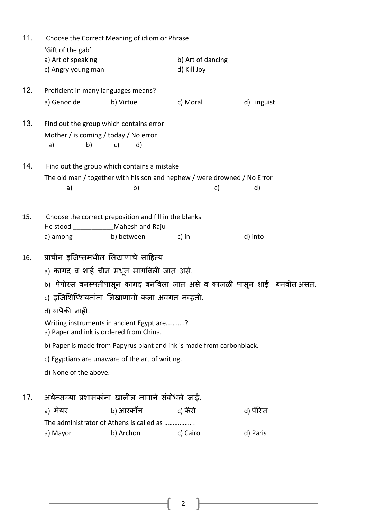| 11. |                                                               | Choose the Correct Meaning of idiom or Phrase                                  |                                  |                                                                          |
|-----|---------------------------------------------------------------|--------------------------------------------------------------------------------|----------------------------------|--------------------------------------------------------------------------|
|     | 'Gift of the gab'<br>a) Art of speaking<br>c) Angry young man |                                                                                | b) Art of dancing<br>d) Kill Joy |                                                                          |
| 12. | Proficient in many languages means?                           |                                                                                |                                  |                                                                          |
|     | a) Genocide                                                   | b) Virtue                                                                      | c) Moral                         | d) Linguist                                                              |
| 13. | Find out the group which contains error                       |                                                                                |                                  |                                                                          |
|     | Mother / is coming / today / No error<br>b)<br>a)             | c)<br>d)                                                                       |                                  |                                                                          |
| 14. |                                                               | Find out the group which contains a mistake                                    |                                  |                                                                          |
|     | a)                                                            | The old man / together with his son and nephew / were drowned / No Error<br>b) | c)                               | d)                                                                       |
| 15. | He stood ________________ Mahesh and Raju                     | Choose the correct preposition and fill in the blanks                          |                                  |                                                                          |
|     | a) among                                                      | b) between                                                                     | c) in                            | d) into                                                                  |
| 16. | प्राचीन इजिप्तमधील लिखाणाचे साहित्य                           |                                                                                |                                  |                                                                          |
|     |                                                               | a) कागद व शाई चीन मधून मागविली जात असे.                                        |                                  |                                                                          |
|     |                                                               |                                                                                |                                  | b) पेपीरस वनस्पतीपासून कागद बनविला जात असे व काजळी पासून शाई  बनवीत असत. |
|     |                                                               | c) इजिशिप्शियनांना लिखाणाची कला अवगत नव्हती.                                   |                                  |                                                                          |
|     | d) यापैकी नाही.                                               |                                                                                |                                  |                                                                          |
|     | a) Paper and ink is ordered from China.                       | Writing instruments in ancient Egypt are?                                      |                                  |                                                                          |
|     |                                                               | b) Paper is made from Papyrus plant and ink is made from carbonblack.          |                                  |                                                                          |
|     |                                                               | c) Egyptians are unaware of the art of writing.                                |                                  |                                                                          |
|     | d) None of the above.                                         |                                                                                |                                  |                                                                          |
| 17. |                                                               | अथेन्सच्या प्रशासकांना खालील नावाने संबोधले जाई.                               |                                  |                                                                          |
|     | a) मेयर                                                       | b) आरकॉन                                                                       | c) कॅरो                          | d) पॅरिस                                                                 |
|     |                                                               | The administrator of Athens is called as                                       |                                  |                                                                          |
|     | a) Mayor                                                      | b) Archon                                                                      | c) Cairo                         | d) Paris                                                                 |
|     |                                                               |                                                                                |                                  |                                                                          |

 $\begin{pmatrix} 2 \end{pmatrix}$ 

ŀ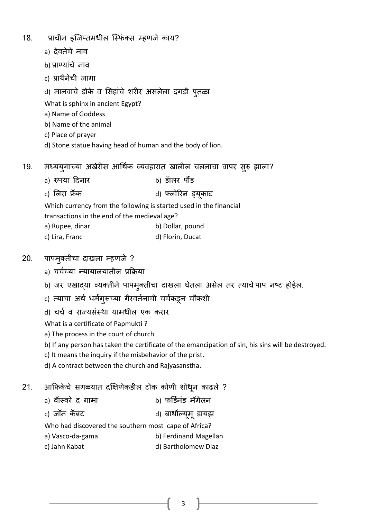- 18. प्राचीन इजिप्तमधील स्फिंक्स म्हणजे काय?
	- a) देवतेचे नाव
	- b) प्राणयाांचे नाव
	- c) प्रार्थथनेची जागा
	- d) मानवाचे डोके व शसहाांचे शरीर असलेला दगडी पुतळा
	- What is sphinx in ancient Egypt?
	- a) Name of Goddess
	- b) Name of the animal
	- c) Place of prayer
	- d) Stone statue having head of human and the body of lion.
- 19. मध्यय्गाच्या अखेरीस आर्थिक व्यवहारात खालील चलनाचा वापर सुरु झाला?
	- a) रुपया हदनार b) डॅालर पौंड
	- c) शलरा फ्रॅक d) फ्लोररन ड्यूकाट

Which currency from the following is started used in the financial

transactions in the end of the medieval age?

| a) Rupee, dinar | b) Dollar, pound |
|-----------------|------------------|
| c) Lira, Franc  | d) Florin, Ducat |

- 20. पापमुक्तीचा दाखला म्हणजे ?
	- a) चर्चच्या न्यायालयातील प्रक्रिया
	- b) जर एखाद्या व्यक्तीने पापमुक्तीचा दाखला घेतला असेल तर त्याचेपाप नष्ट होईल.
	- c) त्याचा अर्थ धर्मगुरूच्या गैरवर्तनाची चर्चकडून चौकशी
	- d) चर्च व राज्यसंस्था यामधील एक करार

What is a certificate of Papmukti ?

- a) The process in the court of church
- b) If any person has taken the certificate of the emancipation of sin, his sins will be destroyed.
- c) It means the inquiry if the misbehavior of the prist.
- d) A contract between the church and Rajyasanstha.
- 21. आफ्रिकेचे सगळ्यात दक्षिणेकडील टोक कोणी शोधून काढले ?
	- a) वॉस्को द गामा b) फर्डिनंड मॅगेलन
	- c) जॉन कॅबट d) बार्थील्यूमूडायझ

Who had discovered the southern most cape of Africa?

- a) Vasco-da-gama b) Ferdinand Magellan
- c) Jahn Kabat d) Bartholomew Diaz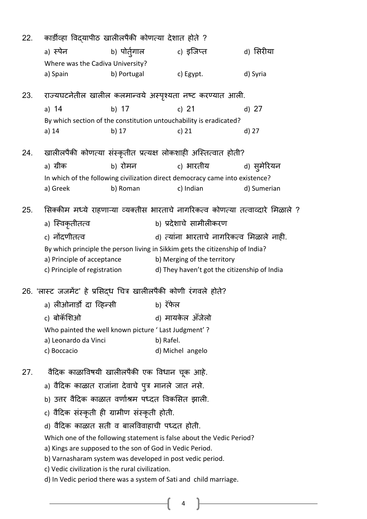| 22. | कार्डीव्हा विद्यापीठ खालीलपैकी कोणत्या देशात होते ?                                          |                                                                               |                             |                  |                        |                                                                                 |  |
|-----|----------------------------------------------------------------------------------------------|-------------------------------------------------------------------------------|-----------------------------|------------------|------------------------|---------------------------------------------------------------------------------|--|
|     | a) स्पेन                                                                                     | b) पोर्तुगाल                                                                  |                             | c) इजिप्त        |                        | d) सिरीया                                                                       |  |
|     | Where was the Cadiva University?                                                             |                                                                               |                             |                  |                        |                                                                                 |  |
|     | a) Spain                                                                                     | b) Portugal                                                                   |                             | c) Egypt.        |                        | d) Syria                                                                        |  |
|     |                                                                                              |                                                                               |                             |                  |                        |                                                                                 |  |
| 23. | राज्यघटनेतील खालील कलमान्वये अस्पृश्यता नष्ट करण्यात आली.                                    |                                                                               |                             |                  |                        |                                                                                 |  |
|     | a) $14$                                                                                      | b) 17                                                                         |                             | c) $21$          |                        | d) $27$                                                                         |  |
|     |                                                                                              | By which section of the constitution untouchability is eradicated?            |                             |                  |                        |                                                                                 |  |
|     | a) 14                                                                                        | b) 17                                                                         |                             | c) $21$          |                        | d) 27                                                                           |  |
| 24. | खालीलपैकी कोणत्या संस्कृतीत प्रत्यक्ष लोकशाही अस्तित्वात होती?                               |                                                                               |                             |                  |                        |                                                                                 |  |
|     | a) ग्रीक                                                                                     | b) रोमन                                                                       |                             |                  | c) भारतीय              | d) सुमेरियन                                                                     |  |
|     | In which of the following civilization direct democracy came into existence?                 |                                                                               |                             |                  |                        |                                                                                 |  |
|     | a) Greek                                                                                     | b) Roman                                                                      |                             | c) Indian        |                        | d) Sumerian                                                                     |  |
|     |                                                                                              |                                                                               |                             |                  |                        |                                                                                 |  |
| 25. |                                                                                              |                                                                               |                             |                  |                        | सिक्कीम मध्ये राहणाऱ्या व्यक्तीस भारताचे नागरिकत्व कोणत्या तत्वाव्दारे मिळाले ? |  |
|     | a) स्विकृतीतत्व                                                                              |                                                                               |                             |                  | b) प्रदेशाचे सामीलीकरण |                                                                                 |  |
|     | c) नोंदणीतत्व                                                                                |                                                                               |                             |                  |                        | d) त्यांना भारताचे नागरिकत्व मिळाले नाही.                                       |  |
|     |                                                                                              | By which principle the person living in Sikkim gets the citizenship of India? |                             |                  |                        |                                                                                 |  |
|     | a) Principle of acceptance                                                                   |                                                                               | b) Merging of the territory |                  |                        |                                                                                 |  |
|     | c) Principle of registration                                                                 |                                                                               |                             |                  |                        | d) They haven't got the citizenship of India                                    |  |
|     |                                                                                              |                                                                               |                             |                  |                        |                                                                                 |  |
|     | 26. 'लास्ट जजमेंट' हे प्रसिद्ध चित्र खालीलपैकी कोणी रंगवले होते?<br>a) लीओनार्डो दा व्हिन्सी |                                                                               | b) रॅफेल                    |                  |                        |                                                                                 |  |
|     |                                                                                              |                                                                               |                             |                  |                        |                                                                                 |  |
|     | c) बोकॅशिओ                                                                                   |                                                                               |                             | d) मायकेल ॲंजेलो |                        |                                                                                 |  |
|     | Who painted the well known picture 'Last Judgment'?                                          |                                                                               |                             |                  |                        |                                                                                 |  |
|     | a) Leonardo da Vinci                                                                         |                                                                               | b) Rafel.                   |                  |                        |                                                                                 |  |
|     | c) Boccacio                                                                                  |                                                                               |                             | d) Michel angelo |                        |                                                                                 |  |
| 27. |                                                                                              | वैदिक काळाविषयी खालीलपैकी एक विधान चूक आहे.                                   |                             |                  |                        |                                                                                 |  |
|     | a) वैदिक काळात राजांना देवाचे पुत्र मानले जात नसे.                                           |                                                                               |                             |                  |                        |                                                                                 |  |
|     |                                                                                              | b) उत्तर वैदिक काळात वर्णाश्रम पध्दत विकसित झाली.                             |                             |                  |                        |                                                                                 |  |
|     | c) वैदिक संस्कृती ही ग्रामीण संस्कृती होती.                                                  |                                                                               |                             |                  |                        |                                                                                 |  |
|     |                                                                                              | d) वैदिक काळात सती व बालविवाहाची पध्दत होती.                                  |                             |                  |                        |                                                                                 |  |
|     | Which one of the following statement is false about the Vedic Period?                        |                                                                               |                             |                  |                        |                                                                                 |  |
|     |                                                                                              | a) Kings are supposed to the son of God in Vedic Period.                      |                             |                  |                        |                                                                                 |  |
|     |                                                                                              | b) Varnasharam system was developed in post vedic period.                     |                             |                  |                        |                                                                                 |  |
|     | c) Vedic civilization is the rural civilization.                                             |                                                                               |                             |                  |                        |                                                                                 |  |
|     | d) In Vedic period there was a system of Sati and child marriage.                            |                                                                               |                             |                  |                        |                                                                                 |  |
|     |                                                                                              |                                                                               |                             |                  |                        |                                                                                 |  |
|     |                                                                                              |                                                                               |                             | 4                |                        |                                                                                 |  |
|     |                                                                                              |                                                                               |                             |                  |                        |                                                                                 |  |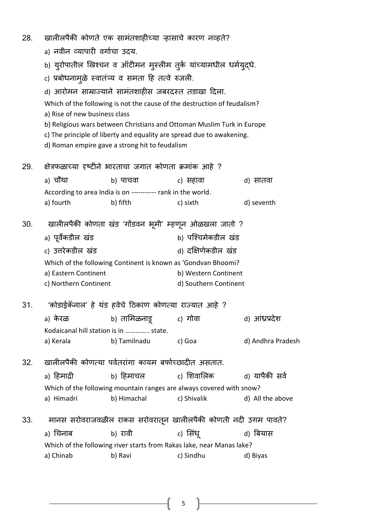- 28. खालीलपैकी कोणते एक सामांतशाहीच्या ऱ्हासाचे कारण नव्हते?
	- a) नवीन व्यापारी वर्गाचा उदय.
	- b) युरोपातील ख्रिश्चन व ऑटीमन मुस्लीम तुर्क यांच्यामधील धर्मयुदधे.
	- c) प्रबोधनामुळे स्वातंत्र्य व समता हि तत्वे रुजली.
	- d) आरोमन साम्राज्याने सामांतशाहीस जबरदस्त्त तडाखा हदला.
	- Which of the following is not the cause of the destruction of feudalism? a) Rise of new business class
	- b) Religious wars between Christians and Ottoman Muslim Turk in Europe
	- c) The principle of liberty and equality are spread due to awakening.
	- d) Roman empire gave a strong hit to feudalism
- 29. क्षेरफळाच्या दृष्टीने भारताचा जगात कोणता क्माांक आहे ? a) चौर्था b) पाचवा c) सहावा d) सातवा According to area India is on ----------- rank in the world. a) fourth b) fifth c) sixth d) seventh 30. खालीलपैकी कोणता खांड 'गोंडवन भूमी' म्हणून ओळखला जातो ? a) पूर्वेकडील खंड b) पश्चिमेकडील खंड c) उत्तरेकडील खंड d) दक्षिणेकडील खंड Which of the following Continent is known as 'Gondvan Bhoomi? a) Eastern Continent b) Western Continent c) Northern Continent d) Southern Continent 31. 'कोडाईकॅनाल' हे र्थांड हवेचे हठकाण कोणत्कया राज्यात आहे ? a) के रळ b) ताशमळनाडू c) गोवा d) आांध्रप्रदेश Kodaicanal hill station is in ………….. state. a) Kerala b) Tamilnadu c) Goa d) Andhra Pradesh
- 32. खालीलपैकी कोणत्या पर्वतरांगा कायम बर्फाच्छादीत असतात.

a) हिमादी b) हिमाचल c) शिवालिक d) यापैकी सर्व Which of the following mountain ranges are always covered with snow? a) Himadri b) Himachal c) Shivalik d) All the above

33. मानस सरोवराजवळील राकस सरोवरातून खालीलपैकी कोणती नदी उगम पावते?

a) चिनाब b) रावी c) सिंधू d) बियास

Which of the following river starts from Rakas lake, near Manas lake? a) Chinab b) Ravi c) Sindhu d) Biyas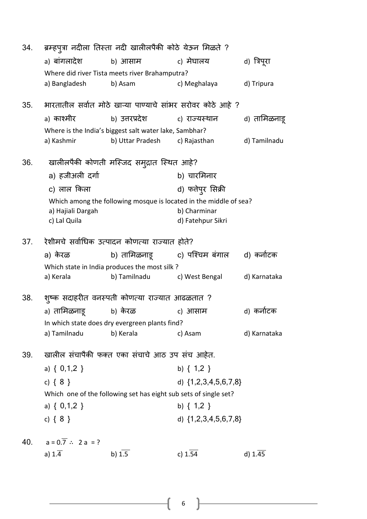| 34. |                                | ब्रम्हपुत्रा नदीला तिस्ता नदी खालीलपैकी कोठे येऊन मिळते ?        |                                                                   |              |
|-----|--------------------------------|------------------------------------------------------------------|-------------------------------------------------------------------|--------------|
|     | a) बांगलादेश                   | b) आसाम                                                          | c) मेघालय                                                         | d) त्रिपूरा  |
|     |                                | Where did river Tista meets river Brahamputra?                   |                                                                   |              |
|     | a) Bangladesh                  | b) Asam                                                          | c) Meghalaya                                                      | d) Tripura   |
| 35. |                                |                                                                  | भारतातील सर्वात मोठे खाऱ्या पाण्याचे सांभर सरोवर कोठे आहे ?       |              |
|     | a) काश्मीर                     | b) उत्तरप्रदेश                                                   | c) राज्यस्थान                                                     | d) तामिळनाडू |
|     |                                | Where is the India's biggest salt water lake, Sambhar?           |                                                                   |              |
|     | a) Kashmir                     | b) Uttar Pradesh                                                 | c) Rajasthan                                                      | d) Tamilnadu |
| 36. |                                | खालीलपैकी कोणती मस्जिद समुद्रात स्थित आहे?                       |                                                                   |              |
|     | a) हजीअली दर्गा                |                                                                  | b) चारमिनार                                                       |              |
|     | c) लाल किला                    |                                                                  | d) फतेपुर सिक्री                                                  |              |
|     |                                |                                                                  | Which among the following mosque is located in the middle of sea? |              |
|     | a) Hajiali Dargah              |                                                                  | b) Charminar                                                      |              |
|     | c) Lal Quila                   |                                                                  | d) Fatehpur Sikri                                                 |              |
| 37. |                                | रेशीमचे सर्वाधिक उत्पादन कोणत्या राज्यात होते?                   |                                                                   |              |
|     | a) केरळ                        |                                                                  | b) तामिळनाडू        c) पश्चिम बंगाल     d) कर्नाटक                |              |
|     |                                | Which state in India produces the most silk ?                    |                                                                   |              |
|     | a) Kerala                      | b) Tamilnadu                                                     | c) West Bengal                                                    | d) Karnataka |
| 38. |                                | शुष्क सदाहरीत वनस्पती कोणत्या राज्यात आढळतात ?                   |                                                                   |              |
|     | a) तामिळनाडू                   | b) केरळ                                                          | c) आसाम                                                           | d) कर्नोटक   |
|     |                                | In which state does dry evergreen plants find?                   |                                                                   |              |
|     | a) Tamilnadu                   | b) Kerala                                                        | c) Asam                                                           | d) Karnataka |
| 39. |                                | खालील संचापैकी फक्त एका संचाचे आठ उप संच आहेत.                   |                                                                   |              |
|     | a) $\{ 0,1,2 \}$               |                                                                  | b) $\{ 1, 2 \}$                                                   |              |
|     | c) $\{8\}$                     |                                                                  | d) $\{1, 2, 3, 4, 5, 6, 7, 8\}$                                   |              |
|     |                                | Which one of the following set has eight sub sets of single set? |                                                                   |              |
|     | a) $\{ 0,1,2 \}$               |                                                                  | b) $\{ 1, 2 \}$                                                   |              |
|     | c) $\{8\}$                     |                                                                  | d) $\{1, 2, 3, 4, 5, 6, 7, 8\}$                                   |              |
|     |                                |                                                                  |                                                                   |              |
| 40. | $a = 0.\overline{7}$ : 2 a = ? |                                                                  |                                                                   |              |
|     | a) $1.\overline{4}$            | b) $1.5$                                                         | c) 1.54                                                           | $d)$ 1.45    |
|     |                                |                                                                  |                                                                   |              |

 $\begin{array}{|c|c|c|c|c|}\hline \rule{0pt}{1ex}\quad \quad & \\\hline \rule{0pt}{1ex} & \quad \quad & \\\hline \rule{0pt}{1ex} & \quad \quad & \\\hline \rule{0pt}{1ex} & \quad \quad & \\\hline \rule{0pt}{1ex} & \quad \quad & \\\hline \rule{0pt}{1ex} & \quad \quad & \\\hline \rule{0pt}{1ex} & \quad \quad & \\\hline \rule{0pt}{1ex} & \quad \quad & \\\hline \rule{0pt}{1ex} & \quad \quad & \\\hline \rule{0pt}{1ex} & \quad \quad & \\\hline \rule{0pt}{1ex} & \quad \$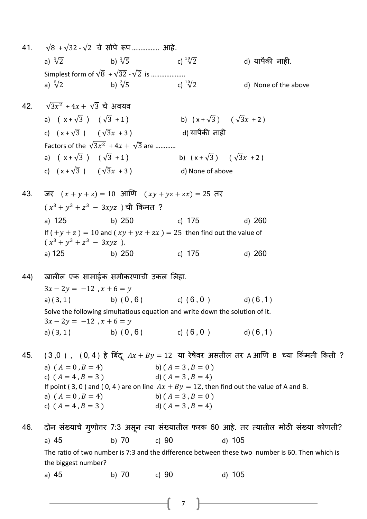- 41.  $\sqrt{8} + \sqrt{32} \sqrt{2}$  चे सोपे रूप ……………. आहे. a)  $\sqrt[5]{2}$ b)  $\sqrt[2]{5}$ c)  $\sqrt[10]{2}$ <sup>10</sup> d) यापैकी नाही. Simplest form of  $\sqrt{8}$  +  $\sqrt{32}$  -  $\sqrt{2}$  is .................... a)  $\sqrt[5]{2}$ b)  $\sqrt[2]{5}$ c)  $\sqrt[10]{2}$ <sup>10</sup> d) None of the above 42.  $\sqrt{3}x^2 + 4x + \sqrt{3}$  चे अवयव a)  $(x+\sqrt{3})$   $(\sqrt{3}+1)$  b)  $(x+\sqrt{3})$   $(\sqrt{3}x+2)$ c)  $(x + \sqrt{3})$   $(\sqrt{3}x + 3)$  d) यापैकी नाही Factors of the  $\sqrt{3}x^2 + 4x + \sqrt{3}$  are ........... a)  $(x+\sqrt{3})$   $(\sqrt{3}+1)$  b)  $(x+\sqrt{3})$   $(\sqrt{3}x+2)$ c)  $(x + \sqrt{3})$   $(\sqrt{3}x + 3)$  d) None of above 43. जर  $(x + y + z) = 10$  आणि  $(xy + yz + zx) = 25$  तर  $(x^3 + y^3 + z^3\, -\, 3xyz\,$  ) ची किंमत ? a) 125 b) 250 c) 175 d) 260 If  $(+y + z) = 10$  and  $(xy + yz + zx) = 25$  then find out the value of  $(x^3 + y^3 + z^3 - 3xyz)$ . a) 125 b) 250 c) 175 d) 260 44) खालील एक सामाईक समीकरणाची उकल शलहा.  $3x - 2y = -12$ ,  $x + 6 = y$ a) ( 3, 1 ) b) (  $0, 6$  ) c) (  $6, 0$  ) d) (  $6, 1$  ) Solve the following simultatious equation and write down the solution of it.  $3x - 2y = -12$ ,  $x + 6 = y$ a) ( 3, 1 ) b) (  $0, 6$  ) c) (  $6, 0$  ) d) (  $6, 1$  ) 45. ( 3,0 ), ( 0, 4 ) हे बिंदु  $Ax + By = 12$  या रेषेवर असतील तर A आणि B च्या किंमती किती ? a)  $(A = 0, B = 4)$  b)  $(A = 3, B = 0)$ c)  $(A = 4, B = 3)$  d)  $(A = 3, B = 4)$ If point (3, 0) and (0, 4) are on line  $Ax + By = 12$ , then find out the value of A and B. a)  $(A = 0, B = 4)$  b)  $(A = 3, B = 0)$ c)  $(A = 4, B = 3)$  d)  $(A = 3, B = 4)$ 46. दोन संख्याचे गृणोत्तर 7:3 असून त्या संख्यातील फरक 60 आहे. तर त्यातील मोठी संख्या कोणती? a) 45 b) 70 c) 90 d) 105 The ratio of two number is 7:3 and the difference between these two number is 60. Then which is the biggest number? a) 45 b) 70 c) 90 d) 105
	- 7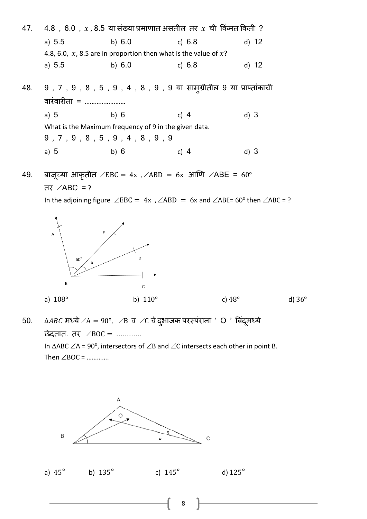

49. बाजूच्या आकृतीत ∠EBC = 4x, ∠ABD = 6x आणि ∠ABE = 60° तर ∠ABC = ?

In the adjoining figure  $\angle$ EBC = 4x,  $\angle$ ABD = 6x and  $\angle$ ABE= 60<sup>0</sup> then  $\angle$ ABC = ?





50.  $\triangle ABC$  मध्ये $\angle A = 90^\circ$ ,  $\angle B$  व  $\angle C$  चे दुभाजक परस्पंराना ' O ' बिंदुमध्ये छेदतात. तर  $\angle BOC =$  ............ In  $\triangle$ ABC  $\angle$ A = 90<sup>0</sup>, intersectors of  $\angle$ B and  $\angle$ C intersects each other in point B. Then  $\angle$ BOC = ………….

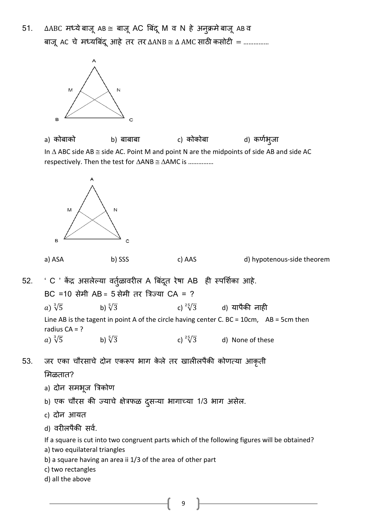51. ∆ABC मध्ये बाजू AB ≅ बाजू AC बिंदू M व N हे अनुक्रमे बाजू AB व बाजू AC चे मध्यबिंदू आहे तर तर ∆ANB ≅ ∆ AMC साठी कसोटी = ……………



a) कोबाको b) बाबाबा c) कोकोबा d) कणथभुजा In  $\Delta$  ABC side AB  $\cong$  side AC. Point M and point N are the midpoints of side AB and side AC respectively. Then the test for  $\triangle ANB \cong \triangle AMC$  is ...............





a) ASA b) SSS c) AAS d) hypotenous-side theorem

- 52. ' C ' केंद्र असलेल्या वर्तृळावरील A बिंदुत रेषा AB ही स्पर्शिका आहे. BC =10 सेमी AB = 5 सेमी तर त्रिज्या CA = ? a)  $\sqrt[3]{5}$ b)  $\sqrt[5]{3}$ c)  $\sqrt[25]{3}$ <sup>25</sup> d) यापैकी नाही Line AB is the tagent in point A of the circle having center C. BC = 10cm, AB = 5cm then radius  $CA = ?$ a)  $\sqrt[3]{5}$ b)  $\sqrt[5]{3}$ c)  $^{25}\sqrt{3}$ d) None of these
- 53. जर एका चौरसाचे दोन एकरूप भाग केले तर खालीलपैकी कोणत्या आकृती

## शमळतात?

- a) दोन समभूज त्रिकोण
- b) एक चौरस की ज्याचे क्षेत्रफळ दुसऱ्या भागाच्या 1/3 भाग असेल.
- c) दोन आयत
- d) वरीलपैकी सर्व.

If a square is cut into two congruent parts which of the following figures will be obtained?

- a) two equilateral triangles
- b) a square having an area ii 1/3 of the area of other part
- c) two rectangles
- d) all the above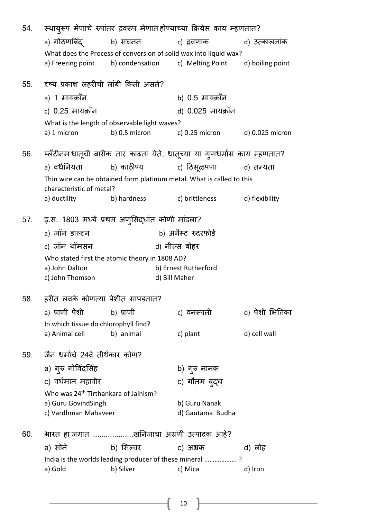| 54. |                                                                       |               | स्थायुरूप मेणाचे रुपांतर द्रवरूप मेणातहोण्याच्या क्रियेस काय म्हणतात?                                                                    |                  |
|-----|-----------------------------------------------------------------------|---------------|------------------------------------------------------------------------------------------------------------------------------------------|------------------|
|     |                                                                       |               | a) गोठणबिंदू           b) संघनन                   c) द्रवणांक                  d) उत्कालनांक                                             |                  |
|     |                                                                       |               | What does the Process of conversion of solid wax into liquid wax?<br>a) Freezing point b) condensation c) Melting Point d) boiling point |                  |
| 55. | दृष्य प्रकाश लहरीची लांबी किती असते?                                  |               |                                                                                                                                          |                  |
|     | a) 1 मायक्रॉन                                                         |               | b) 0.5 मायक्रॉन                                                                                                                          |                  |
|     | c) 0.25 मायक्रॉन                                                      |               | d) 0.025 मायक्रॉन                                                                                                                        |                  |
|     | What is the length of observable light waves?                         |               |                                                                                                                                          |                  |
|     | a) 1 micron                                                           | b) 0.5 micron | c) $0.25$ micron d) $0.025$ micron                                                                                                       |                  |
| 56. |                                                                       |               | प्लॅटीनमधातूची बारीक तार काढता येते, धातूच्या या गुणधर्मास काय म्हणतात?                                                                  |                  |
|     | a) वर्धनियता                                                          |               | b) काठीण्य                  c) ठिसूळपणा              d) तन्यता                                                                           |                  |
|     | characteristic of metal?                                              |               | Thin wire can be obtained form platinum metal. What is called to this                                                                    |                  |
|     | a) ductility                                                          |               | b) hardness c) brittleness d) flexibility                                                                                                |                  |
|     |                                                                       |               |                                                                                                                                          |                  |
|     | 57. इ.स. 1803 मध्ये प्रथम अणुसिद्धांत कोणी मांडला?                    |               |                                                                                                                                          |                  |
|     | a) जॉन डाल्टन                                                         |               | b) अर्नेस्ट रुदरफोर्ड                                                                                                                    |                  |
|     | c) जॉन थॉमसन                                                          |               | d) नील्स बोहर                                                                                                                            |                  |
|     | Who stated first the atomic theory in 1808 AD?<br>a) John Dalton      |               | b) Ernest Rutherford                                                                                                                     |                  |
|     | c) John Thomson                                                       |               | d) Bill Maher                                                                                                                            |                  |
| 58. | हरीत लवके कोणत्या पेशीत सापडतात?                                      |               |                                                                                                                                          |                  |
|     |                                                                       |               |                                                                                                                                          |                  |
|     |                                                                       |               |                                                                                                                                          |                  |
|     | a) प्राणी पेशी<br>In which tissue do chlorophyll find?                | b) प्राणी     | c) वनस्पती                                                                                                                               | d) पेशी भित्तिका |
|     | a) Animal cell                                                        | b) animal     | c) plant                                                                                                                                 | d) cell wall     |
| 59. | जैन धर्माचे 24वे तीर्थकार कोण?                                        |               |                                                                                                                                          |                  |
|     |                                                                       |               |                                                                                                                                          |                  |
|     | a) गुरु गोविंदसिंह                                                    |               | b) गुरु नानक                                                                                                                             |                  |
|     | c) वर्धमान महावीर<br>Who was 24 <sup>th</sup> Tirthankara of Jainism? |               | c) गौतम ब् <b>द्</b> ध                                                                                                                   |                  |
|     | a) Guru GovindSingh                                                   |               | b) Guru Nanak                                                                                                                            |                  |
|     | c) Vardhman Mahaveer                                                  |               | d) Gautama Budha                                                                                                                         |                  |
| 60. |                                                                       |               | भारत हा जगात खनिजाचा अग्रणी उत्पादक आहे?                                                                                                 |                  |
|     | a) सोने                                                               | b) सिल्वर     | c) अभ्रक                                                                                                                                 | d) लोह           |
|     |                                                                       | b) Silver     | India is the worlds leading producer of these mineral ?                                                                                  |                  |

 $\begin{pmatrix} 10 \end{pmatrix}$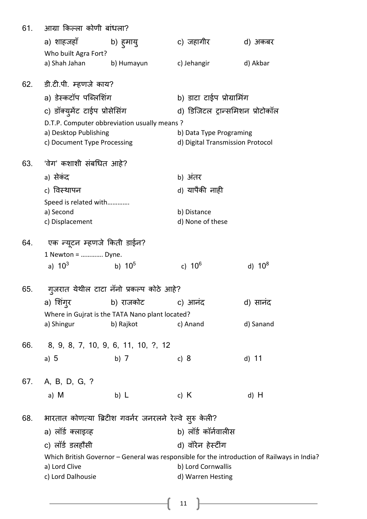| 61. | आग्रा किल्ला कोणी बांधला?     |                                                           |                                  |                                                                                             |
|-----|-------------------------------|-----------------------------------------------------------|----------------------------------|---------------------------------------------------------------------------------------------|
|     | a) शाहजहाँ                    | b) हुमायु                                                 | c) जहागीर                        | d) अकबर                                                                                     |
|     | Who built Agra Fort?          |                                                           |                                  |                                                                                             |
|     | a) Shah Jahan                 | b) Humayun                                                | c) Jehangir                      | d) Akbar                                                                                    |
| 62. | डी.टी.पी. म्हणजे काय?         |                                                           |                                  |                                                                                             |
|     | a) डेस्कटॉप पब्लिशिंग         |                                                           | b) डाटा टाईप प्रोग्रामिंग        |                                                                                             |
|     | c) डॉक्युमेंट टाईप प्रोसेसिंग |                                                           |                                  | d) डिजिटल ट्रान्समिशन प्रोटोकॉल                                                             |
|     |                               | D.T.P. Computer obbreviation usually means?               |                                  |                                                                                             |
|     | a) Desktop Publishing         |                                                           | b) Data Type Programing          |                                                                                             |
|     | c) Document Type Processing   |                                                           | d) Digital Transmission Protocol |                                                                                             |
| 63. | 'वेग' कशाशी संबधित आहे?       |                                                           |                                  |                                                                                             |
|     | a) सेकंद                      |                                                           | b) अंतर                          |                                                                                             |
|     | c) विस्थापन                   |                                                           | d) यापैकी नाही                   |                                                                                             |
|     | Speed is related with         |                                                           |                                  |                                                                                             |
|     | a) Second                     |                                                           | b) Distance                      |                                                                                             |
|     | c) Displacement               |                                                           | d) None of these                 |                                                                                             |
| 64. | एक न्यूटन म्हणजे किती डाईन?   |                                                           |                                  |                                                                                             |
|     | 1 Newton =  Dyne.             |                                                           |                                  |                                                                                             |
|     | a) $10^3$                     | b) $10^5$                                                 | c) $10^6$                        | d) $10^8$                                                                                   |
| 65. |                               | गुजरात येथील टाटा नॅनो प्रकल्प कोठे आहे?                  |                                  |                                                                                             |
|     |                               | a) शिंग् <b>र             b) राजकोट           c)</b> आनंद |                                  | d) सानंद                                                                                    |
|     |                               | Where in Gujrat is the TATA Nano plant located?           |                                  |                                                                                             |
|     | a) Shingur                    | b) Rajkot                                                 | c) Anand                         | d) Sanand                                                                                   |
| 66. |                               | 8, 9, 8, 7, 10, 9, 6, 11, 10, ?, 12                       |                                  |                                                                                             |
|     | a) $5$                        | b) $7$                                                    | c) $8$                           | d) 11                                                                                       |
|     |                               |                                                           |                                  |                                                                                             |
| 67. | A, B, D, G, ?                 |                                                           |                                  |                                                                                             |
|     | a) M                          | b) $\lfloor$                                              | c) $K$                           | d) H                                                                                        |
| 68. |                               | भारतात कोणत्या ब्रिटीश गवर्नर जनरलने रेल्वे सुरु केली?    |                                  |                                                                                             |
|     | a) लॉर्ड क्लाइव्ह             |                                                           | b) लॉर्ड कॉर्नवालीस              |                                                                                             |
|     | c) लॉर्ड डलहौसी               |                                                           | d) वॉरेन हेर्स्टींग              |                                                                                             |
|     |                               |                                                           |                                  | Which British Governor - General was responsible for the introduction of Railways in India? |
|     | a) Lord Clive                 |                                                           | b) Lord Cornwallis               |                                                                                             |
|     | c) Lord Dalhousie             |                                                           | d) Warren Hesting                |                                                                                             |
|     |                               |                                                           |                                  |                                                                                             |

 $\begin{pmatrix} 11 \end{pmatrix}$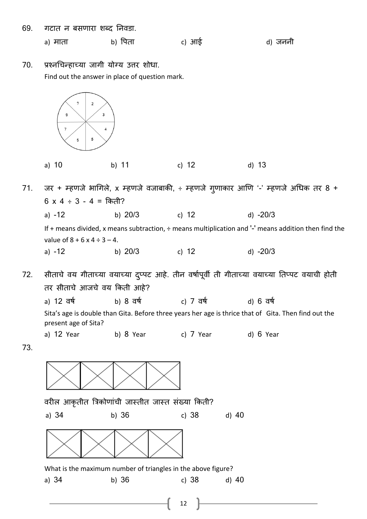69. गटात न बसणारा शब्द ननवडा.

a) माता b) पिता c) आई d) जननी

70. प्रश्नर्चन्हाच्या जागी योग्य उत्तर शोधा. Find out the answer in place of question mark.



71. जर + म्हणजे भागिले, x म्हणजे वजाबाकी, ÷ म्हणजे गूणाकार आणि '-' म्हणजे अधिक तर 8 +  $6 \times 4 \div 3 - 4 = \overline{6}$  किती? a) -12 b) 20/3 c) 12 d) -20/3 If + means divided, x means subtraction, ÷ means multiplication and '-' means addition then find the value of  $8 + 6 \times 4 \div 3 - 4$ . a) -12 b) 20/3 c) 12 d) -20/3

72. सीताचे वय गीताच्या वयाच्या दप्ुपट आहे. तीन वषाथपूवी ती गीताच्या वयाच्या नतप्पट वयाची होती तर सीताचे आजचे वय क्रकती आहे?

a) 12 वर्ष b) 8 वर्ष c) 7 वर्ष d) 6 वर्ष

Sita's age is double than Gita. Before three years her age is thrice that of Gita. Then find out the present age of Sita?

- a) 12 Year b) 8 Year c) 7 Year d) 6 Year
- 73.

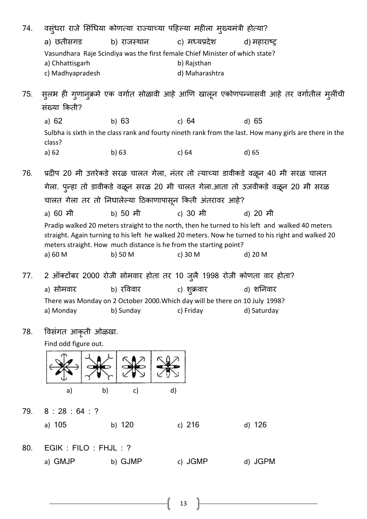| 74. |                  | वस्ंधरा राजे सिंधिया कोणत्या राज्याच्या पहिल्या महीला मुख्यमंत्री होत्या?    |                      |                                                                                                         |
|-----|------------------|------------------------------------------------------------------------------|----------------------|---------------------------------------------------------------------------------------------------------|
|     | a) छतीसगड        | b) राजस्थान                                                                  | c) मध्यप्रदेश        | d) महाराष्ट्र                                                                                           |
|     |                  | Vasundhara Raje Scindiya was the first female Chief Minister of which state? |                      |                                                                                                         |
|     | a) Chhattisgarh  |                                                                              | b) Rajsthan          |                                                                                                         |
|     | c) Madhyapradesh |                                                                              | d) Maharashtra       |                                                                                                         |
| 75. |                  |                                                                              |                      | सुलभ ही गुणानुक्रमे एक वर्गात सोळावी आहे आणि खालून एकोणपन्नासवी आहे तर वर्गातील मुलींची                 |
|     | संख्या किती?     |                                                                              |                      |                                                                                                         |
|     | a) $62$          | b) $63$                                                                      | c) $64$              | d) 65                                                                                                   |
|     | class?           |                                                                              |                      | Sulbha is sixth in the class rank and fourty nineth rank from the last. How many girls are there in the |
|     | a) 62            | b) $63$                                                                      | c) $64$              | $d$ ) 65                                                                                                |
| 76. |                  |                                                                              |                      |                                                                                                         |
|     |                  |                                                                              |                      | प्रदीप 20 मी उत्तरेकडे सरळ चालत गेला, नंतर तो त्याच्या डावीकडे वळून 40 मी सरळ चालत                      |
|     |                  |                                                                              |                      | गेला. पुन्हा तो डावीकडे वळून सरळ 20 मी चालत गेला.आता तो उजवीकडे वळून 20 मी सरळ                          |
|     |                  | चालत गेला तर तो निघालेल्या ठिकाणापासून किती अंतरावर आहे?                     |                      |                                                                                                         |
|     | a) 60 मी         | b) 50 मी                                                                     | c) 30 मी             | d) 20 मी                                                                                                |
|     |                  |                                                                              |                      | Pradip walked 20 meters straight to the north, then he turned to his left and walked 40 meters          |
|     |                  |                                                                              |                      | straight. Again turning to his left he walked 20 meters. Now he turned to his right and walked 20       |
|     | a) 60 M          | meters straight. How much distance is he from the starting point?<br>b) 50 M | c) 30 M              | d) 20 M                                                                                                 |
|     |                  |                                                                              |                      |                                                                                                         |
| 77. |                  | 2 ऑक्टोंबर 2000 रोजी सोमवार होता तर 10 जुलै 1998 रोजी कोणता वार होता?        |                      |                                                                                                         |
|     | a) सोमवार        | b) रविवार                                                                    | c) श् <i>क्र</i> वार | d) शनिवार                                                                                               |
|     |                  | There was Monday on 2 October 2000. Which day will be there on 10 July 1998? |                      |                                                                                                         |
|     | a) Monday        | b) Sunday                                                                    | c) Friday            | d) Saturday                                                                                             |
|     |                  |                                                                              |                      |                                                                                                         |

78. ववसांगत आकृती ओळखा.

Find odd figure out.



79. 8 : 28 : 64 : ?

|  | a) 105 | b) 120 | c) $216$ | d) 126 |
|--|--------|--------|----------|--------|
|--|--------|--------|----------|--------|

80. EGIK : FILO : FHJL : ? a) GMJP b) GJMP c) JGMP d) JGPM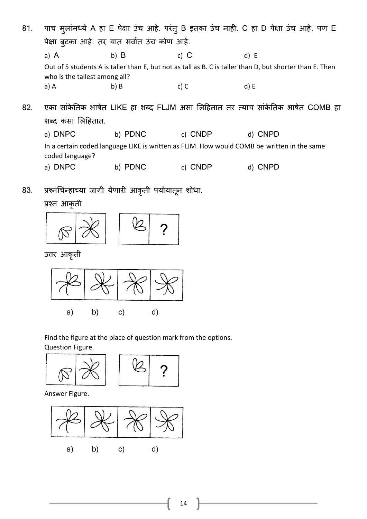| 81. |                               |                                             |             | पाच मुलांमध्ये A हा E पेक्षा उंच आहे. परंतु B इतका उंच नाही. C हा D पेक्षा उंच आहे. पण E                 |
|-----|-------------------------------|---------------------------------------------|-------------|----------------------------------------------------------------------------------------------------------|
|     |                               | पेक्षा बटका आहे. तर यात सर्वात उंच कोण आहे. |             |                                                                                                          |
|     | a) A                          | b) $B$                                      | c) $C$      | d) E                                                                                                     |
|     | who is the tallest among all? |                                             |             | Out of 5 students A is taller than E, but not as tall as B. C is taller than D, but shorter than E. Then |
|     | a) A                          | $b)$ B                                      | c) $C$      | d) E                                                                                                     |
| 82. |                               |                                             |             | एका सांकेतिक भाषेत LIKE हा शब्द FLJM असा लिहितात तर त्याच सांकेतिक भाषेत COMB हा                         |
|     | शब्द कसा लिहितात.             |                                             |             |                                                                                                          |
|     | a) DNPC                       | b) PDNC                                     | <b>CNDP</b> | d) CNPD                                                                                                  |

In a certain coded language LIKE is written as FLJM. How would COMB be written in the same coded language?

a) DNPC b) PDNC c) CNDP d) CNPD

83. प्रश्नचिन्हाच्या जागी येणारी आकृती पर्यायातून शोधा.

प्रश्न आकृती



उत्तर आकृती



Find the figure at the place of question mark from the options.

Question Figure.



Answer Figure.

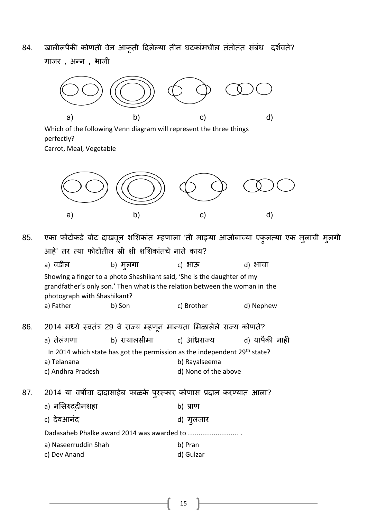84. खालीलपैकी कोणती वेन आकृती दिलेल्या तीन घटकांमधील तंतोतंत संबंध दर्शवते? गाजर , अन्न , भाजी



Which of the following Venn diagram will represent the three things perfectly?

Carrot, Meal, Vegetable



85. एका फोटोकडे बोट दाखवून शशिकांत म्हणाला 'ती माझ्या आजोबाच्या एकुलत्या एक मुलाची मुलगी आहे' तर त्कया फोटोतील स्री शी शशशकाांतचे नाते काय?

a) वडील b) मुलगा c) भाऊ d) भाचा Showing a finger to a photo Shashikant said, 'She is the daughter of my grandfather's only son.' Then what is the relation between the woman in the photograph with Shashikant? a) Father b) Son c) Brother d) Nephew

- 86. 2014 मध्ये स्त्वतांर 29 वे राज्य म्हणून मान्यता शमळालेले राज्य कोणते?
	- a) तेलांगणा b) रायालसीमा c) आांध्रराज्य d) यापैकी नाही In 2014 which state has got the permission as the independent 29<sup>th</sup> state? a) Telanana b) Rayalseema
	- c) Andhra Pradesh d) None of the above
- 87. 2014 या वषीचा दादासाहेब फाळके पुरस्त्कार कोणास प्रदान करणयात आला?

| a) नसिरुददीनशहा                            | b) प्राण           |
|--------------------------------------------|--------------------|
| c) देवआनंद                                 | d) ग् <b>ल</b> जार |
| Dadasaheb Phalke award 2014 was awarded to |                    |
| a) Naseerruddin Shah                       | b) Pran            |
| c) Dev Anand                               | d) Gulzar          |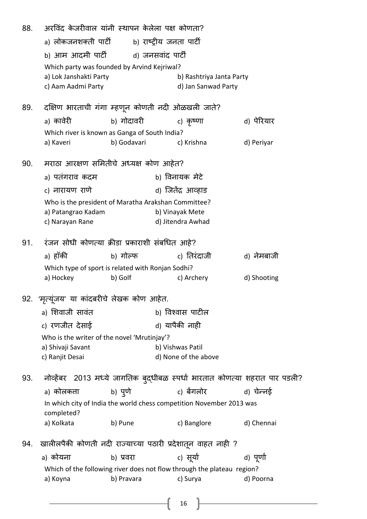| 88. | अरविंद केजरीवाल यांनी स्थापन केलेला पक्ष कोणता?<br>a) लोकजनशक्ती पार्टी        b) राष्ट्रीय जनता पार्टी |             |                                                                              |             |
|-----|---------------------------------------------------------------------------------------------------------|-------------|------------------------------------------------------------------------------|-------------|
|     | b) आम आदमी पार्टी                                                                                       |             | d) जनसवांद पार्टी                                                            |             |
|     | Which party was founded by Arvind Kejriwal?                                                             |             |                                                                              |             |
|     | a) Lok Janshakti Party<br>c) Aam Aadmi Party                                                            |             | b) Rashtriya Janta Party<br>d) Jan Sanwad Party                              |             |
|     |                                                                                                         |             |                                                                              |             |
| 89. |                                                                                                         |             | दक्षिण भारताची गंगा म्हणून कोणती नदी ओळखली जाते?                             |             |
|     | a) कावेरी                                                                                               | b) गोदावरी  | c) कृष्णा                                                                    | d) पेरियार  |
|     | Which river is known as Ganga of South India?                                                           |             |                                                                              |             |
|     | a) Kaveri                                                                                               | b) Godavari | c) Krishna                                                                   | d) Periyar  |
| 90. | मराठा आरक्षण समितीचे अध्यक्ष कोण आहेत?                                                                  |             |                                                                              |             |
|     | a) पतंगराव कदम                                                                                          |             | b) विनायक मेटे                                                               |             |
|     | c) नारायण राणे                                                                                          |             | d) जितेंद्र आव्हाड                                                           |             |
|     |                                                                                                         |             | Who is the president of Maratha Arakshan Committee?                          |             |
|     | a) Patangrao Kadam                                                                                      |             | b) Vinayak Mete                                                              |             |
|     | c) Narayan Rane                                                                                         |             | d) Jitendra Awhad                                                            |             |
| 91. | रंजन सोधी कोणत्या क्रीडा प्रकाराशी संबधित आहे?                                                          |             |                                                                              |             |
|     | a) हॉकी                                                                                                 | b) गोल्फ    | c) तिरंदाजी                                                                  | d) नेमबाजी  |
|     | Which type of sport is related with Ronjan Sodhi?                                                       |             |                                                                              |             |
|     | a) Hockey                                                                                               | b) Golf     | c) Archery                                                                   | d) Shooting |
|     | 92. 'मृत्यूंजय' या कांदबरीचे लेखक कोण आहेत.                                                             |             |                                                                              |             |
|     | a) शिवाजी सावंत                                                                                         |             | b) विश्वास पाटील                                                             |             |
|     | c) रणजीत देसाई                                                                                          |             | d) यापैकी नाही                                                               |             |
|     | Who is the writer of the novel 'Mrutinjay'?                                                             |             |                                                                              |             |
|     | a) Shivaji Savant                                                                                       |             | b) Vishwas Patil                                                             |             |
|     | c) Ranjit Desai                                                                                         |             | d) None of the above                                                         |             |
| 93. |                                                                                                         |             | नोव्हेंबर  2013 मध्ये जागतिक बुद्धीबळ स्पर्धा भारतात कोणत्या शहरात पार पडली? |             |
|     | a) कोलकता                                                                                               | b) पुणे     | c) बेंगलोर                                                                   | d) चेन्नई   |
|     |                                                                                                         |             | In which city of India the world chess competition November 2013 was         |             |
|     | completed?                                                                                              |             |                                                                              |             |
|     | a) Kolkata                                                                                              | b) Pune     | c) Banglore                                                                  | d) Chennai  |
| 94. |                                                                                                         |             | खालीलपैकी कोणती नदी राज्याच्या पठारी प्रदेशातून वाहत नाही ?                  |             |
|     | a) कोयना                                                                                                | b) प्रवरा   | c) सूर्या                                                                    | d) पूर्णा   |
|     |                                                                                                         |             | Which of the following river does not flow through the plateau region?       |             |
|     | a) Koyna                                                                                                | b) Pravara  | c) Surya                                                                     | d) Poorna   |

 $\begin{array}{|c|c|} \hline \multicolumn{1}{|c|}{16} & \multicolumn{1}{|c|}{16} \\\hline \end{array}$